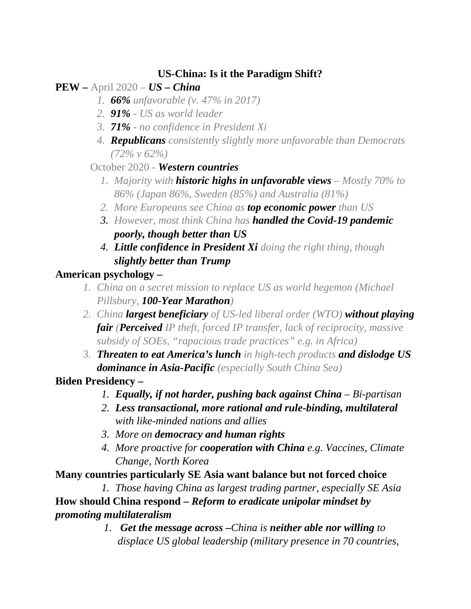## **US-China: Is it the Paradigm Shift?**

## **PEW –** April 2020 – *US – China*

- *1. 66% unfavorable (v. 47% in 2017)*
- *2. 91% - US as world leader*
- *3. 71% - no confidence in President Xi*
- *4. Republicans consistently slightly more unfavorable than Democrats (72% v 62%)*

October 2020 - *Western countries*

- *1. Majority with historic highs in unfavorable views – Mostly 70% to 86% (Japan 86%, Sweden (85%) and Australia (81%)*
- *2. More Europeans see China as top economic power than US*
- *3. However, most think China has handled the Covid-19 pandemic poorly, though better than US*
- *4. Little confidence in President Xi doing the right thing, though slightly better than Trump*

## **American psychology –**

- *1. China on a secret mission to replace US as world hegemon (Michael Pillsbury, 100-Year Marathon)*
- *2. China largest beneficiary of US-led liberal order (WTO) without playing fair (Perceived IP theft, forced IP transfer, lack of reciprocity, massive subsidy of SOEs, "rapacious trade practices" e.g. in Africa)*
- *3. Threaten to eat America's lunch in high-tech products and dislodge US dominance in Asia-Pacific (especially South China Sea)*

## **Biden Presidency –**

- *1. Equally, if not harder, pushing back against China – Bi-partisan*
- *2. Less transactional, more rational and rule-binding, multilateral with like-minded nations and allies*
- *3. More on democracy and human rights*
- *4. More proactive for cooperation with China e.g. Vaccines, Climate Change, North Korea*

**Many countries particularly SE Asia want balance but not forced choice** 

*1. Those having China as largest trading partner, especially SE Asia*

**How should China respond –** *Reform to eradicate unipolar mindset by promoting multilateralism* 

*1. Get the message across –China is neither able nor willing to displace US global leadership (military presence in 70 countries,*